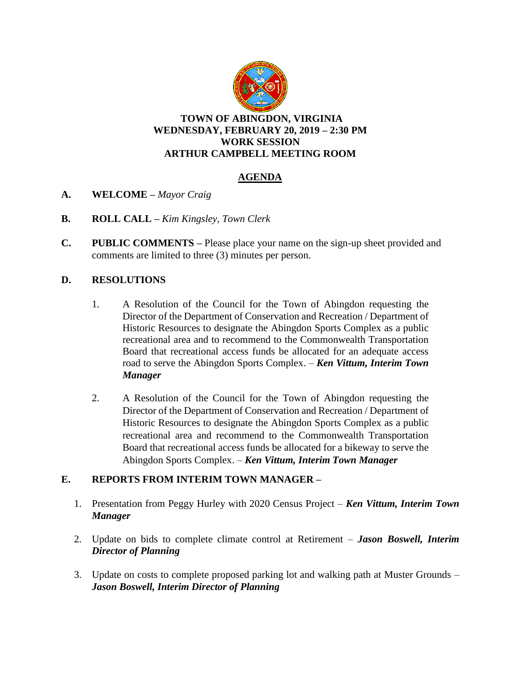

#### **TOWN OF ABINGDON, VIRGINIA WEDNESDAY, FEBRUARY 20, 2019 – 2:30 PM WORK SESSION ARTHUR CAMPBELL MEETING ROOM**

### **AGENDA**

- **A. WELCOME –** *Mayor Craig*
- **B. ROLL CALL –** *Kim Kingsley, Town Clerk*
- **C. PUBLIC COMMENTS –** Please place your name on the sign-up sheet provided and comments are limited to three (3) minutes per person.

### **D. RESOLUTIONS**

- 1. A Resolution of the Council for the Town of Abingdon requesting the Director of the Department of Conservation and Recreation / Department of Historic Resources to designate the Abingdon Sports Complex as a public recreational area and to recommend to the Commonwealth Transportation Board that recreational access funds be allocated for an adequate access road to serve the Abingdon Sports Complex. – *Ken Vittum, Interim Town Manager*
- 2. A Resolution of the Council for the Town of Abingdon requesting the Director of the Department of Conservation and Recreation / Department of Historic Resources to designate the Abingdon Sports Complex as a public recreational area and recommend to the Commonwealth Transportation Board that recreational access funds be allocated for a bikeway to serve the Abingdon Sports Complex. – *Ken Vittum, Interim Town Manager*

### **E. REPORTS FROM INTERIM TOWN MANAGER –**

- 1. Presentation from Peggy Hurley with 2020 Census Project *Ken Vittum, Interim Town Manager*
- 2. Update on bids to complete climate control at Retirement *Jason Boswell, Interim Director of Planning*
- 3. Update on costs to complete proposed parking lot and walking path at Muster Grounds *Jason Boswell, Interim Director of Planning*